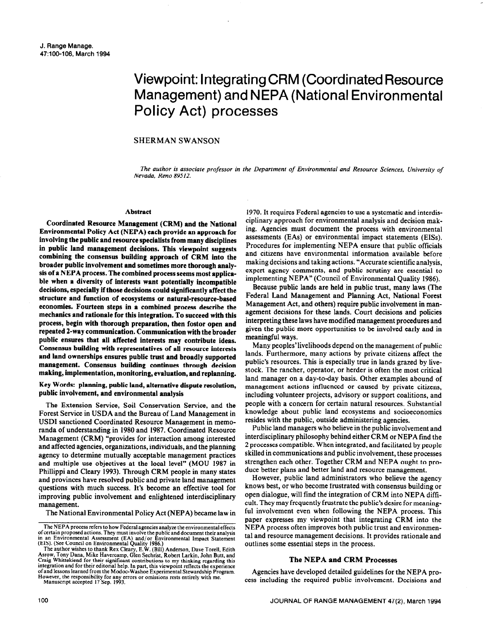# Viewpoint: Integrating CRM (Coordinated Resource Management) and NEPA (National Environmental Policy Act) processes

# SHERMAN SWANSON

*The author is associate professor in the Department of Environmental and Resource Sciences, University of Nevada, Reno 89512.* 

#### **Abstract**

**Coordinated Resource Management (CRM) and the National Environmental Policy Act (NEPA) each provide an approach for involving the public and resource specialists from many disciplines in public land management decisions. This viewpoint suggests combining the consensus building approach of CRM into the broader public involvement and sometimes more thorough analysis of a NEPA process. The combined process seems most applicable when a diversity of interests want potentially incompatible decisions, especially if those decisions could significantly affect the structure and function of ecosystems or natural-resource-based economies. Fourteen steps in a combined process describe the mechanics and rationale for this integration. To succeed with this process, begin with thorough preparation, then fostor open and repeated 2-way communication. Communication with the broader public ensures that all affected interests may contribute ideas. Consensus building with representatives of all resource interests and land ownerships ensures public trust and broadly supported management. Consensus building continues through decision making, implementation, monitoring, evaluation, and replanning.** 

**Key Words: planning, public land, alternative dispute resolution, public involvement, and environmental analysis** 

The Extension Service, Soil Conservation Service, and the Forest Service in USDA and the Bureau of Land Management in USDI sanctioned Coordinated Resource Management in memoranda of understanding in 1980 and 1987. Coordinated Resource Management (CRM) "provides for interaction among interested and affected agencies, organizations, individuals, and the planning agency to determine mutually acceptable management practices and multiple use objectives at the local level" (MOU 1987 in Phillippi and Cleary 1993). Through CRM people in many states and provinces have resolved public and private land management questions with much success. It's become an effective tool for improving public involvement and enlightened interdisciplinary management.

The National Environmental Policy Act (NEPA) became law in

**1970.** It requires Federal agencies to use a systematic and interdisciplinary approach for environmental analysis and decision making. Agencies must document the process with environmental assessments (EAs) or environmental impact statements (EISs). Procedures for implementing NEPA ensure that public officials and citizens have environmental information available before making decisions and taking actions. "Accurate scientific analysis, expert agency comments, and public scrutiny are essential to implementing NEPA" (Council of Environmental Quality 1986).

Because public lands are held in public trust, many laws (The Federal Land Management and Planning Act, National Forest Management Act, and others) require public involvement in management decisions for these lands. Court decisions and policies interpreting these laws have modified management procedures and given the public more opportunities to be involved early and in meaningful ways.

Many peoples'livelihoods depend on the management of public lands. Furthermore, many actions by private citizens affect the public's resources. This is especially true in lands grazed by livestock. The rancher, operator, or herder is often the most critical land manager on a day-to-day basis. Other examples abound of management actions influenced or caused by private citizens, including volunteer projects, advisory or support coalitions, and people with a concern for certain natural resources. Substantial knowledge about public land ecosystems and socioeconomics resides with the public, outside administering agencies.

Public land managers who believe in the public involvement and interdisciplinary philosophy behind either CRM or NEPA find the 2 processes compatible. When integrated, and facilitated by people skilled in communications and public involvement, these processes strengthen each other. Together CRM and NEPA ought to produce better plans and better land and resource management.

However, public land administrators who believe the agency knows best, or who become frustrated with consensus building or open dialogue, will find the integration of CRM into NEPA difficult. They may frequently frustrate the public's desire for meaningful involvement even when following the NEPA process. This paper expresses my viewpoint that integrating CRM into the NEPA process often improves both public trust and environmental and resource management decisions. It provides rationale and outlines some essential steps in the process.

## **The NEPA and CRM Processes**

Agencies have developed detailed guidelines for the NEPA process including the required public involvement. Decisions and

The NEPA process refers to how Federal agencies analyze the environmental effects of certain proposed actions. They must involve the public and document their analysis<br>in an Environmental Assessment (EA) and/or Environmental Impact Statemen<br>(EIS). (See Council on Environmental Quality 1986.)<br>The author

Asrow, Tony Dana, Mike Havercamp, Glen Sechrist, Robert Larkin, John Butt, and<br>Craig Whittekiend for their significant contributions to my thinking regarding this integration and for their editorial help. In part, this viewpoint reflects the experience of and lessons learned from the Modoc-Washoe Experimental Stewardship Program. However, the responsibility for any errors or omissions rests entirely with me. Manuscript accepted 17 Sep. 1993.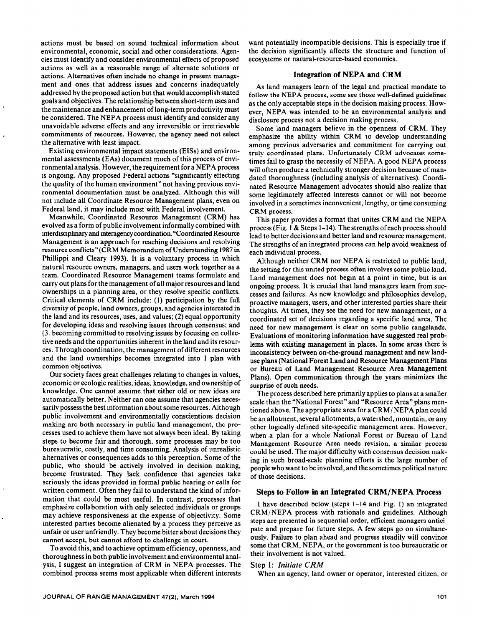actions must be based on sound technical information about environmental, economic, social and other considerations. Agencies must identify and consider environmental effects of proposed actions as well as a reasonable range of alternate solutions or actions. Alternatives often include no change in present management and ones that address issues and concerns inadequately addressed by the proposed action but that would accomplish stated goals and objectives. The relationship between short-term uses and the maintenance and enhancement of long-term productivity must be considered. The NEPA process must identify and consider any unavoidable adverse effects and any irreversible or irretrievable commitments of resources. However, the agency need not select the alternative with least impact.

Existing environmental impact statements (EISs) and environmental assessments (EAs) document much of this process of environmental analysis. However, the requirement for a NEPA process is ongoing. Any proposed Federal actions "significantly effecting the quality of the human environment" not having previous environmental documentation must be analyzed. Although this will not include all Coordinate Resource Management plans, even on Federal land, it may include most with Federal involvement.

Meanwhile, Coordinated Resource Management (CRM) has evolved as a form of public involvement informally combined with interdisciplinary and **interagency** coordination. "Coordinated Resource Management is an approach for reaching decisions and resolving resource conflicts"(CRM Memorandum of Understanding 1987 in Phillippi and Cleary 1993). It is a voluntary process in which natural resource owners, managers, and users work together as a team. Coordinated Resource Management teams formulate and carry out plans for the management of all major resources and land ownerships in a planning area, or they resolve specific conflicts. Critical elements of CRM include: (1) participation by the full diversity of people, land owners, groups, and agencies interested in the land and its resources, uses, and values; (2) equal opportunity for developing ideas and resolving issues through consensus; and (3. becoming committed to resolving issues by focusing on collective needs and the opportunities inherent in the land and its resources. Through coordination, the management of different resources and the land ownerships becomes integrated into 1 plan with common objectives.

Our society faces great challenges relating to changes in values, economic or ecologic realities, ideas, knowledge, and ownership of knowledge. One cannot assume that either old or new ideas are automatically better. Neither can one assume that agencies necessarily possess the best information about some resources. Although public involvement and environmentally conscientious decision making are both necessary in public land management, the processes used to achieve them have not always been ideal. By taking steps to become fair and thorough, some processes may be too bureaucratic, costly, and time consuming. Analysis of unrealistic alternatives or consequences adds to this perception. Some of the public, who should be actively involved in decision making, become frustrated. They lack confidence that agencies take seriously the ideas provided in formal public hearing or calls for written comment. Often they fail to understand the kind of information that could be most useful. In contrast, processes that emphasize collaboration with only selected individuals or groups may achieve responsiveness at the expense of objectivity. Some interested parties become alienated by a process they perceive as unfair or user unfriendly. They become bitter about decisions they cannot accept, but cannot afford to challenge in court.

To avoid this, and to achieve optimum efficiency, openness, and thoroughness in both public involvement and environmental analysis, I suggest an integration of CRM in NEPA processes. The combined process seems most applicable when different interests want potentially incompatible decisions. This is especially true if the decision significantly affects the structure and function of ecosystems or natural-resource-based economies.

#### **Integration of NEPA and CRM**

As land managers learn of the legal and practical mandate to follow the NEPA process, some see those well-defined guidelines as the only acceptable steps in the decision making process. However, NEPA was intended to be an environmental analysis and disclosure process not a decision making process.

Some land managers believe in the openness of CRM. They emphasize the ability within CRM to develop understanding among previous adversaries and commitment for carrying out truly coordinated plans. Unfortunately CRM advocates sometimes fail to grasp the necessity of NEPA. A good NEPA process will often produce a technically stronger decision because of mandated thoroughness (including analysis of alternatives). Coordinated Resource Management advocates should also realize that some legitimately affected interests cannot or will not become involved in a sometimes inconvenient, lengthy, or time consuming CRM process.

This paper provides a format that unites CRM and the NEPA process (Fig. 1 & Steps 1-14). The strengths of each process should lead to better decisions and better land and resource management. The strengths of an integrated process can help avoid weakness of each individual process.

Although neither CRM nor NEPA is restricted to public land, the setting for this united process often involves some public land. Land management does not begin at a point in time, but is an ongoing process. It is crucial that land managers learn from successes and failures. As new knowledge and philosophies develop, proactive managers, users, and other interested parties share their thoughts. At times, they see the need for new management, or a coordinated set of decisions regarding a specific land area. The need for new management is clear on some public rangelands. Evaluations of monitoring information have suggested real problems with existing management in places. In some areas there is inconsistency between on-the-ground management and new landuse plans (National Forest Land and Resource Management Plans or Bureau of Land Management Resource Area Management Plans). Open communication through the years minimizes the surprise of such needs.

The process described here primarily applies to plans at a smaller scale than the "National Forest" and "Resource Area" plans mentioned above. The appropriate area for a CRM/ NEPA plan could be an allotment, several allotments, a watershed, mountain, or any other logically defined site-specific management area. However, when a plan for a whole National Forest or Bureau of Land Management Resource Area needs revision, a similar process could be used. The major difficulty with consensus decision making in such broad-scale planning efforts is the large number of people who want to be involved, and the sometimes political nature of those decisions.

## **Steps to Follow in an Integrated CRM/NEPA Process**

I have described below (steps l-14 and Fig. 1) an integrated CRM/NEPA process with rationale and guidelines. Although steps are presented in sequential order, efficient managers anticipate and prepare for future steps. A few steps go on simultaneously. Failure to plan ahead and progress steadily will convince some that CRM, NEPA, or the government is too bureaucratic or their involvement is not valued.

#### Step 1: *Initiate CRM*

When an agency, land owner or operator, interested citizen, or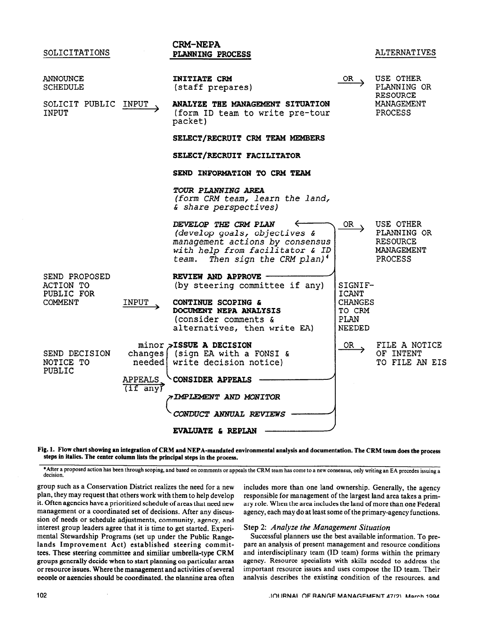| SOLICITATIONS                                       |                      | Crw-nlfa<br>PLANNING PROCESS                                                                                                                                             |                                            | <b>ALTERNATIVES</b>                                                         |
|-----------------------------------------------------|----------------------|--------------------------------------------------------------------------------------------------------------------------------------------------------------------------|--------------------------------------------|-----------------------------------------------------------------------------|
| <b>ANNOUNCE</b><br><b>SCHEDULE</b>                  |                      | <b>INITIATE CRM</b><br>(staff prepares)                                                                                                                                  | $OR_{\rightarrow}$                         | USE OTHER<br>PLANNING OR<br><b>RESOURCE</b><br>MANAGEMENT<br><b>PROCESS</b> |
| SOLICIT PUBLIC INPUT<br>INPUT                       |                      | <b>ANALYZE THE MANAGEMENT SITUATION</b><br>(form ID team to write pre-tour<br>packet)                                                                                    |                                            |                                                                             |
|                                                     |                      | SELECT/RECRUIT CRM TEAM MEMBERS                                                                                                                                          |                                            |                                                                             |
|                                                     |                      | SELECT/RECRUIT FACILITATOR                                                                                                                                               |                                            |                                                                             |
|                                                     |                      | SEND INFORMATION TO CRM TEAM                                                                                                                                             |                                            |                                                                             |
|                                                     |                      | TOUR PLANNING AREA<br>(form CRM team, learn the land,<br>& share perspectives)                                                                                           |                                            |                                                                             |
|                                                     |                      | DEVELOP THE CRM PLAN<br>(develop goals, objectives &<br>management actions by consensus<br>with help from facilitator & ID<br>team. Then sign the CRM plan) <sup>4</sup> | $OR_{\rightarrow}$                         | USE OTHER<br>PLANNING OR<br><b>RESOURCE</b><br>MANAGEMENT<br>PROCESS        |
| SEND PROPOSED<br>ACTION TO<br>PUBLIC FOR<br>COMMENT |                      | REVIEW AND APPROVE -<br>(by steering committee if any)                                                                                                                   | SIGNIF-<br><b>ICANT</b>                    |                                                                             |
|                                                     | INPUT                | <b>CONTINUE SCOPING &amp;</b><br>DOCUMENT NEPA ANALYSIS<br>(consider comments &<br>alternatives, then write EA)                                                          | <b>CHANGES</b><br>TO CRM<br>PLAN<br>NEEDED |                                                                             |
| SEND DECISION<br>NOTICE TO<br>PUBLIC                |                      | minor >ISSUE A DECISION<br>changes (sign EA with a FONSI &<br>needed write decision notice)                                                                              | OR.                                        | FILE A NOTICE<br>OF INTENT<br>TO FILE AN EIS                                |
|                                                     | APPEALS.<br>(if anv) | CONSIDER APPEALS                                                                                                                                                         |                                            |                                                                             |
|                                                     |                      | <b>7 IMPLEMENT AND MONITOR</b>                                                                                                                                           |                                            |                                                                             |
|                                                     |                      | CONDUCT ANNUAL REVIEWS                                                                                                                                                   |                                            |                                                                             |
|                                                     |                      | <b>EVALUATE &amp; REPLAN</b>                                                                                                                                             |                                            |                                                                             |

**CRM-NEPA** 

**Fig. 1. Flow chart showing an integration of CRM and NEPA-mandated environmental analysis and documentation. The CRM team does the process steps in italics. The center column lists the principal steps in the process.** 

\*After a proposed action has been through scoping, and based on comments or appeals the CRM team has come to a new consensus, only writing an EA precedes issuing a decision.

group such as a Conservation District realizes the need for a new plan, they may request that others work with them to help develop it. Often agencies have a prioritized schedule of areas that need new management or a coordinated set of decisions. After any discussion of needs or schedule adjustments, community, agency, and interest group leaders agree that it is time to get started. Experimental Stewardship Programs (set up under the Public Rangelands Improvement Act) established steering committees. These steering committee and similiar umbrella-type CRM groups generally decide when to start planning on particular areas or resource issues. Where the management and activities of several people or agencies should be coordinated, the planning area often

includes more than one land ownership. Generally, the agency responsible for management of the largest land area takes a primary role. When the area includes the land of more than one Federal agency, each may do at least some of the primary-agency functions.

# Step 2: *Analyze the Management Situation*

Successful planners use the best available information. To prepare an analysis of present management and resource conditions and interdisciplinary team (ID team) forms within the primary agency. Resource specialists with skills needed to address the important resource issues and uses compose the ID team. Their analysis describes the existing condition of the resources, and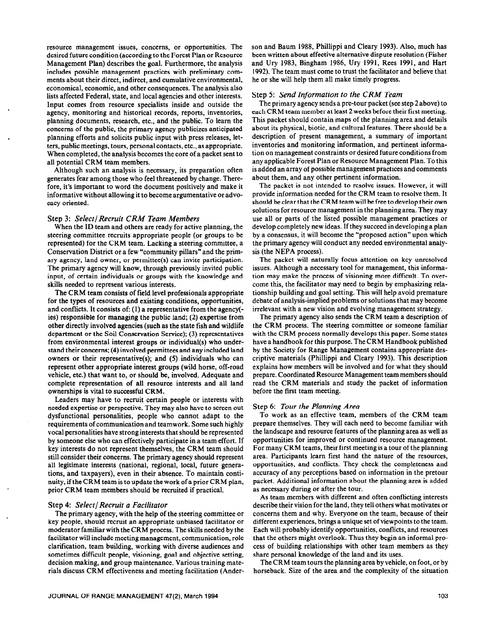resource management issues, concerns, or opportunities. The desired future condition (according to the Forest Plan or Resource Management Plan) describes the goal. Furthermore, the analysis includes possible management practices with preliminary comments about their direct, indirect, and cumulative environmental, economical, economic, and other consequences. The analysis also lists affected Federal, state, and local agencies and other interests. Input comes from resource specialists inside and outside the agency, monitoring and historical records, reports, inventories, planning documents, research, etc., and the public. To learn the concerns of the public, the primary agency publicizes anticipated planning efforts and solicits public input with press releases, letters, public meetings, tours, personal contacts, etc., as appropriate. When completed, the analysis becomes the core of a packet sent to all potential CRM team members.

Although such an analysis is necessary, its preparation often generates fear among those who feel threatened by change. Therefore, it's important to word the document positively and make it informative without allowing it to become argumentative or advocacy oriented.

## Step 3: *Select* / Recruit CRM Team Members

When the ID team and others are ready for active planning, the steering committee recruits appropriate people (or groups to be represented) for the CRM team. Lacking a steering committee, a Conservation District or a few "community pillars" and the primary agency, land owner, or permittee(s) can invite participation. The primary agency will know, through previously invited public input, of certain individuals or groups with the knowledge and skills needed to represent various interests.

The CRM team consists of field level professionals appropriate for the types of resources and existing conditions, opportunities, and conflicts. It consists of: (1) a representative from the agency( ies) responsible for managing the public land; (2) expertise from other directly involved agencies (such as the state fish and wildlife department or the Soil Conservation Service); (3) representatives from environmental interest groups or individual(s) who understand their concerns; (4) involved permittees and any included land owners or their representative(s); and (5) individuals who can represent other appropriate interest groups (wild horse, off-road vehicle, etc.) that want to, or should be, involved. Adequate and complete representation of all resource interests and all land ownerships is vital to successful CRM.

Leaders may have to recruit certain people or interests with needed expertise or perspective. They may also have to screen out dysfunctional personalities, people who cannot adapt to the requirements of communication and teamwork. Some such highly vocal personalities have strong interests that should be represented by someone else who can effectively participate in a team effort. If key interests do not represent themselves, the CRM team should still consider their concerns. The primary agency should represent all legitimate interests (national, regional, local, future generations, and taxpayers), even in their absence. To maintain continuity, if the CRM team is to update the work of a prior CRM plan, prior CRM team members should be recruited if practical.

## Step 4: *Select/Recruit a Facilitator*

The primary agency, with the help of the steering committee or key people, should recruit an appropriate unbiased facilitator or moderator familiar with the CRM process. The skills needed by the facilitator will include meeting management, communication, role clarification, team building, working with diverse audiences and sometimes difficult people, visioning, goal and objective setting, decision making, and group maintenance. Various training materials discuss CRM effectiveness and meeting facilitation (Anderson and Baum 1988, Phillippi and Cleary 1993). Also, much has been written about effective alternative dispute resolution (Fisher and Ury 1983, Bingham 1986, Ury 1991, Rees 1991, and Hart 1992). The team must come to trust the facilitator and believe that he or she will help them all make timely progress.

## Step 5: *Send Information to the CRM Team*

The primary agency sends a pre-tour packet (see step 2 above) to each CRM team member at least 2 weeks before their first meeting. This packet should contain maps of the planning area and details about its physical, biotic, and cultural features. There should be a description of present management, a summary of important inventories and monitoring information, and pertinent information on management constraints or desired future conditions from any applicable Forest Plan or Resource Management Plan. To this is added an array of possible management practices and comments about them, and any other pertinent information.

The packet is not intended to resolve issues. However, it will provide information needed for the CRM team to resolve them. It should be clear that the CRM team will be free to develop their own solutions for resource management in the planning area. They may use all or parts of the listed possible management practices or develop completely new ideas. If they succeed in developing a plan by a consensus, it will become the "proposed action" upon which the primary agency will conduct any needed environmental analysis (the NEPA process).

The packet will naturally focus attention on key unresolved issues. Although a necessary tool for management, this information may make the process of visioning more difficult. To overcome this, the facilitator may need to begin by emphasizing relationship building and goal setting. This will help avoid premature debate of analysis-implied problems or solutions that may become irrelevant with a new vision and evolving management strategy.

The primary agency also sends the CRM team a description of the CRM process. The steering committee or someone familiar with the CRM process normally develops this paper. Some states have a handbook for this purpose. The CRM Handbook published by the Society for Range Management contains appropriate descriptive materials (Phillippi and Cleary 1993). This description explains how members will be involved and for what they should prepare. Coordinated Resource Management team members should read the CRM materials and study the packet of information before the first team meeting.

## Step 6: *Tour the Planning Area*

To work as an effective team, members of the CRM team prepare themselves. They will each need to become familiar with the landscape and resource features of the planning area as well as opportunities for improved or continued resource management. For many CRM teams, their first meeting is a tour of the planning area. Participants learn first hand the nature of the resources, opportunities, and conflicts. They check the completeness and accuracy of any perceptions based on information in the pretour packet. Additional information about the planning area is added as necessary during or after the tour.

As team members with different and often conflicting interests describe their vision for the land, they tell others what motivates or concerns them and why. Everyone on the team, because of their different experiences, brings a unique set of viewpoints to the team. Each will probably identify opportunities, conflicts, and resources that the others might overlook. Thus they begin an informal process of building relationships with other team members as they share personal knowledge of the land and its uses.

The CRM team tours the planning area by vehicle, on foot, or by horseback. Size of the area and the complexity of the situation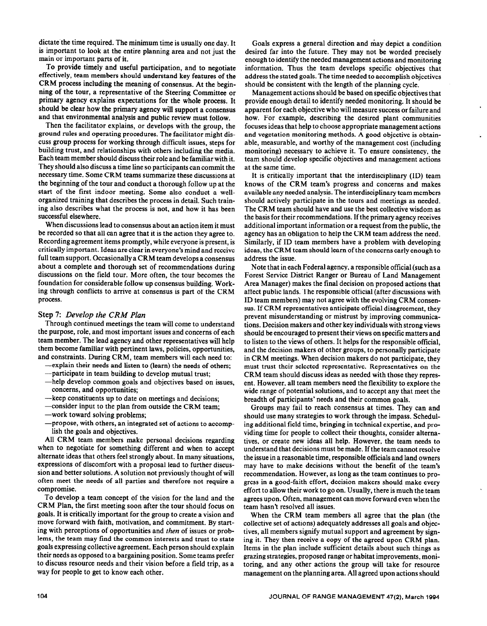dictate the time required. The minimum time is usually one day. It is important to look at the entire planning area and not just the main or important parts of it.

To provide timely and useful participation, and to negotiate effectively, team members should understand key features of the CRM process including the meaning of consensus. At the beginning of the tour, a representative of the Steering Committee or primary agency explains expectations for the whole process. It should be clear how the primary agency will support a consensus and that environmental analysis and public review must follow.

Then the facilitator explains, or develops with the group, the ground rules and operating procedures. The facilitator might discuss group process for working through difficult issues, steps for building trust, and relationships with others including the media. Each team member should discuss their role and be familiar with it. They should also discuss a time line so participants can commit the necessary time. Some CRM teams summarize these discussions at the beginning of the tour and conduct a thorough follow up at the start of the first indoor meeting. Some also conduct a wellorganized training that describes the process in detail. Such training also describes what the process is not, and how it has been successful elsewhere.

When discussions lead to consensus about an action item it must be recorded so that all can agree that it is the action they agree to. Recording agreement items promptly, while everyone is present, is critically important. Ideas are clear in everyone's mind and receive full team support. Occasionally a CRM team develops a consensus about a complete and thorough set of recommendations during discussions on the field tour. More often, the tour becomes the foundation for considerable follow up consensus building. Working through conflicts to arrive at consensus is part of the CRM process.

# *Step* 7: *Develop the CRM Plan*

Through continued meetings the team will come to understand the purpose, role, and most important issues and concerns of each team member. The lead agency and other representatives will help them become familiar with pertinent laws, policies, opportunities, and constraints. During CRM, team members will each need to:

- -explain their needs and listen to (learn) the needs of others;
- -participate in team building to develop mutual trust;
- -help develop common goals and objectives based on issues, concerns, and opportunities;
- -keep constituents up to date on meetings and decisions;
- $-$ consider input to the plan from outside the CRM team;
- -work toward solving problems;
- -propose, with others, an integrated set of actions to accomplish the goals and objectives.

All CRM team members make personal decisions regarding when to negotiate for something different and when to accept alternate ideas that others feel strongly about. In many situations, expressions of discomfort with a proposal lead to further discussion and better solutions. A solution not previously thought of will often meet the needs of all parties and therefore not require a compromise.

To develop a team concept of the vision for the land and the CRM Plan, the first meeting soon after the tour should focus on goals. It is critically important for the group to create a vision and move forward with faith, motivation, and commitment. By starting with perceptions of opportunities and *then* of issues or problems, the team may find the common interests and trust to state goals expressing collective agreement. Each person should explain their needs as opposed to a bargaining position. Some teams prefer to discuss resource needs and their vision before a field trip, as a way for people to get to know each other.

Goals express a general direction and may depict a condition desired far into the future. They may not be worded precisely enough to identify the needed management actions and monitoring information. Thus the team develops specific objectives that address the stated goals. The time needed to accomplish objectives should be consistent with the length of the planning cycle.

Management actions should be based on specific objectives that provide enough detail to identify needed monitoring. It should be apparent for each objective who will measure success or failure and how. For example, describing the desired plant communities focuses ideas that help to choose appropriate management actions and vegetation monitoring methods. A good objective is obtainable, measurable, and worthy of the management cost (including monitoring) necessary to achieve it. To ensure consistency, the team should develop specific objectives and management actions at the same time.

It is critically important that the interdisciplinary (ID) team knows of the CRM team's progress and concerns and makes available any needed analysis. The interdisciplinary team members should actively participate in the tours and meetings as needed. The CRM team should have and use the best collective wisdom as the basis for their recommendations. If the primary agency receives additional important information or a request from the public, the agency has an obligation to help the CRM team address the need. Similarly, if ID team members have a problem with developing ideas, the CRM team should learn of the concerns early enough to address the issue.

Note that in each Federal agency, a responsible official (such as a Forest Service District Ranger or Bureau of Land Management Area Manager) makes the final decision on proposed actions that affect public lands. The responsible official (after discussions with ID team members) may not agree with the evolving CRM consensus. If CRM representatives anticipate official disagreement, they prevent misunderstanding or mistrust by improving communications. Decision makers and other key individuals with strong views should be encouraged to present their views on specific matters and to listen to the views of others. It helps for the responsible official, and the decision makers of other groups, to personally participate in CRM meetings. When decision makers do not participate, they must trust their selected representative. Representatives on the CRM team should discuss ideas as needed with those they represent. However, all team members need the flexibility to explore the wide range of potential solutions, and to accept any that meet the breadth of participants' needs and their common goals.

Groups may fail to reach consensus at times. They can and should use many strategies to work through the impass. Scheduling additional field time, bringing in technical expertise, and providing time for people to collect their thoughts, consider alternatives, or create new ideas all help. However, the team needs to understand that decisions must be made. If the team cannot resolve the issue in a reasonable time, responsible officials and land owners may have to make decisions without the benefit of the team's recommendation. However, as long as the team continues to progress in a good-faith effort, decision makers should make every effort to allow their work to go on. Usually, there is much the team agrees upon. Often, management can move forward even when the team hasn't resolved all issues.

When the CRM team members all agree that the plan (the collective set of actions) adequately addresses all goals and objectives, all members signify mutual support and agreement by signing it. They then receive a copy of the agreed upon CRM plan. Items in the plan include sufficient details about such things as grazing strategies, proposed range or habitat improvements, monitoring, and any other actions the group will take for resource management on the planning area. All agreed upon actions should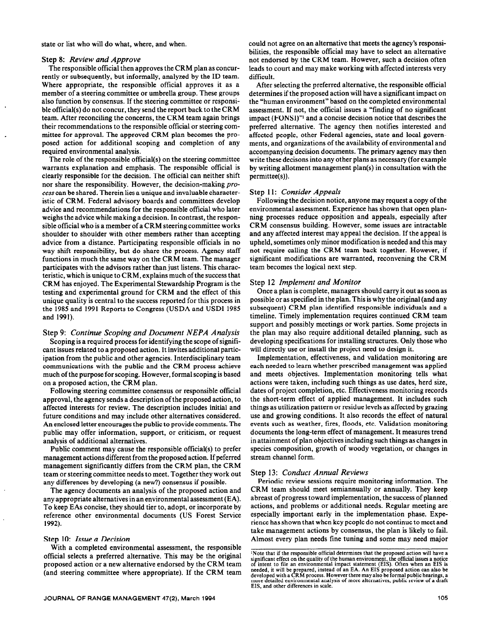state or list who will do what, where, and when.

## Step 8: *Review and Approve*

The responsible official then approves the CRM plan as concurrently or subsequently, but informally, analyzed by the ID team. Where appropriate, the responsible official approves it as a member of a steering committee or umbrella group. These groups also function by consensus. If the steering committee or responsible official(s) do not concur, they send the report back to the CRM team. After reconciling the concerns, the CRM team again brings their recommendations to the responsible official or steering committee for approval. The approved CRM plan becomes the proposed action for additional scoping and completion of any required environmental analysis.

The role of the responsible official(s) on the steering committee warrants explanation and emphasis. The responsible official is clearly responsible for the decision. The official can neither shift nor share the responsibility. However, the decision-making *process* can be shared. Therein lies a unique and invaluable characteristic of CRM. Federal advisory boards and committees develop advice and recommendations for the responsible official who later weighs the advice while making a decision. In contrast, the responsible official who is a member of a CRM steering committee works shoulder to shoulder with other members rather than accepting advice from a distance. Participating responsible officials in no way shift responsibility, but do share the process. Agency staff functions in much the same way on the CRM team. The manager participates with the advisors rather than just listens. This characteristic, which is unique to CRM, explains much of the success that CRM has enjoyed. The Experimental Stewardship Program is the testing and experimental ground for CRM and the effect of this unique quality is central to the success reported for this process in the 1985 and 1991 Reports to Congress (USDA and USDI 1985 and 1991).

## Step *9: Continue Scoping and Document NEPA Analysis*

Scoping is a required process for identifying the scope of significant issues related to a proposed action. It invites additional participation from the public and other agencies. Interdisciplinary team communications with the public and the CRM process achieve much of the purpose for scoping. However, formal scoping is based on a proposed action, the CRM plan.

Following steering committee consensus or responsible official approval, the agency sends a description of the proposed action, to affected interests for review. The description includes initial and future conditions and may include other alternatives considered. An enclosed letter encourages the public to provide comments. The public may offer information, support, or criticism, or request analysis of additional alternatives.

Public comment may cause the responsible official(s) to prefer management actions different from the proposed action. If peferred management significantly differs from the CRM plan, the CRM team or steering committee needs to meet. Together they work out any differences by developing (a new?) consensus if possible.

The agency documents an analysis of the proposed action and any appropriate alternatives in an environmental assessment (EA). To keep EAs concise, they should tier to, adopt, or incorporate by reference other environmental documents (US Forest Service 1992).

## Step 10: Issue *a Decision*

With a completed environmental assessment, the responsible official selects a preferred alternative. This may be the original proposed action or a new alternative endorsed by the CRM team (and steering committee where appropriate). If the CRM team

could not agree on an alternative that meets the agency's responsibilities, the responsible official may have to select an alternative not endorsed by the CRM team. However, such a decision often leads to court and may make working with affected interests very difficult.

After selecting the preferred alternative, the responsible official determines if the proposed action will have a significant impact on the "human environment" based on the completed environmental assessment. If not, the official issues a "finding of no significant impact (FONSI)"' and a concise decision notice that describes the preferred alternative. The agency then notifies interested and affected people, other Federal agencies, state and local governments, and organizations of the availability of environmental and accompanying decision documents. The primary agency may then write these decisons into any other plans as necessary (for example by writing allotment management plan(s) in consultation with the permittee(s)).

#### Step 11: *Consider Appeals*

Following the decision notice, anyone may request a copy of the environmental assessment. Experience has shown that open planning processes reduce opposition and appeals, especially after CRM consensus building. However, some issues are intractable and any affected interest may appeal the decision. If the appeal is upheld, sometimes only minor modification is needed and this may not require calling the CRM team back together. However, if significant modifications are warranted, reconvening the CRM team becomes the logical next step.

## Step 12 *Implement and Monitor*

Once a plan is complete, managers should carry it out as soon as possible or as specified in the plan. This is why the original (and any subsequent) CRM plan identified responsible individuals and a timeline. Timely implementation requires continued CRM team support and possibly meetings or work parties. Some projects in the plan may also require additional detailed planning, such as developing specifications for installing structures. Only those who will directly use or install the project need to design it.

Implementation, effectiveness, and validation monitoring are each needed to learn whether prescribed management was applied and meets objectives. Implementation monitoring tells what actions were taken, including such things as use dates, herd size, dates of project completion, etc. Effectiveness monitoring records the short-term effect of applied management. It includes such things as utilization pattern or residue levels as affected by grazing use and growing conditions. It also records the effect of natural events such as weather, fires, floods, etc. Validation monitoring documents the long-term effect of management. It measures trend in attainment of plan objectives including such things as changes in species composition, growth of woody vegetation, or changes in stream channel form.

#### Step 13: *Conduct Annual Reviews*

Periodic review sessions require monitoring information. The CRM team should meet semiannually or annually. They keep abreast of progress toward implementation, the success of planned actions, and problems or additional needs. Regular meeting are especially important early in the implementation phase. Experience has shown that when key people do not continue to meet and take management actions by consensus, the plan is likely to fail. Almost every plan needs fine tuning and some may need major

<sup>&</sup>lt;sup>1</sup>Note that if the responsible official determines that the proposed action will have a significant effect on the quality of the human environment, the official issues a notice<br>of intent to file an environmental impact statement (EIS). Often when an EIS is<br>needed, it will be prepared, instead of an EA. An EIS EIS, and other differences in scale.